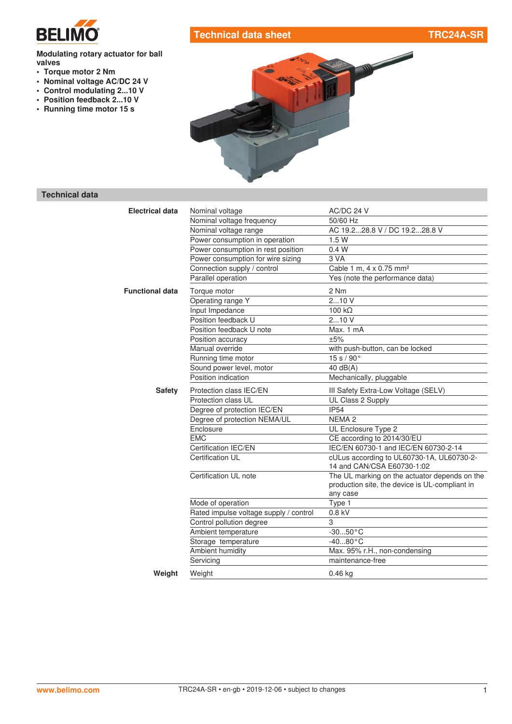

# **Technical data sheet TRC24A-SR**

#### **Modulating rotary actuator for ball valves**

- **• Torque motor 2 Nm**
- **• Nominal voltage AC/DC 24 V**
- **• Control modulating 2...10 V**
- **• Position feedback 2...10 V**
- **• Running time motor 15 s**



# **Technical data**

| <b>Electrical data</b> | Nominal voltage                        | AC/DC 24 V                                                                                                  |
|------------------------|----------------------------------------|-------------------------------------------------------------------------------------------------------------|
|                        | Nominal voltage frequency              | 50/60 Hz                                                                                                    |
|                        | Nominal voltage range                  | AC 19.228.8 V / DC 19.228.8 V                                                                               |
|                        | Power consumption in operation         | 1.5W                                                                                                        |
|                        | Power consumption in rest position     | 0.4 W                                                                                                       |
|                        | Power consumption for wire sizing      | 3 VA                                                                                                        |
|                        | Connection supply / control            | Cable 1 m, 4 x 0.75 mm <sup>2</sup>                                                                         |
|                        | Parallel operation                     | Yes (note the performance data)                                                                             |
| <b>Functional data</b> | Torque motor                           | 2 Nm                                                                                                        |
|                        | Operating range Y                      | 210V                                                                                                        |
|                        | Input Impedance                        | $100 k\Omega$                                                                                               |
|                        | Position feedback U                    | 210V                                                                                                        |
|                        | Position feedback U note               | Max. 1 mA                                                                                                   |
|                        | Position accuracy                      | ±5%                                                                                                         |
|                        | Manual override                        | with push-button, can be locked                                                                             |
|                        | Running time motor                     | 15 s / 90°                                                                                                  |
|                        | Sound power level, motor               | 40 $dB(A)$                                                                                                  |
|                        | Position indication                    | Mechanically, pluggable                                                                                     |
| <b>Safety</b>          | Protection class IEC/EN                | III Safety Extra-Low Voltage (SELV)                                                                         |
|                        | Protection class UL                    | UL Class 2 Supply                                                                                           |
|                        | Degree of protection IEC/EN            | <b>IP54</b>                                                                                                 |
|                        | Degree of protection NEMA/UL           | NEMA <sub>2</sub>                                                                                           |
|                        | Enclosure                              | UL Enclosure Type 2                                                                                         |
|                        | <b>EMC</b>                             | CE according to 2014/30/EU                                                                                  |
|                        | Certification IEC/EN                   | IEC/EN 60730-1 and IEC/EN 60730-2-14                                                                        |
|                        | Certification UL                       | cULus according to UL60730-1A, UL60730-2-<br>14 and CAN/CSA E60730-1:02                                     |
|                        | Certification UL note                  | The UL marking on the actuator depends on the<br>production site, the device is UL-compliant in<br>any case |
|                        | Mode of operation                      | Type 1                                                                                                      |
|                        | Rated impulse voltage supply / control | 0.8 kV                                                                                                      |
|                        | Control pollution degree               | 3                                                                                                           |
|                        | Ambient temperature                    | $-3050 °C$                                                                                                  |
|                        | Storage temperature                    | $-4080$ °C                                                                                                  |
|                        | Ambient humidity                       | Max. 95% r.H., non-condensing                                                                               |
|                        | Servicing                              | maintenance-free                                                                                            |
| Weight                 | Weight                                 | $0.46$ kg                                                                                                   |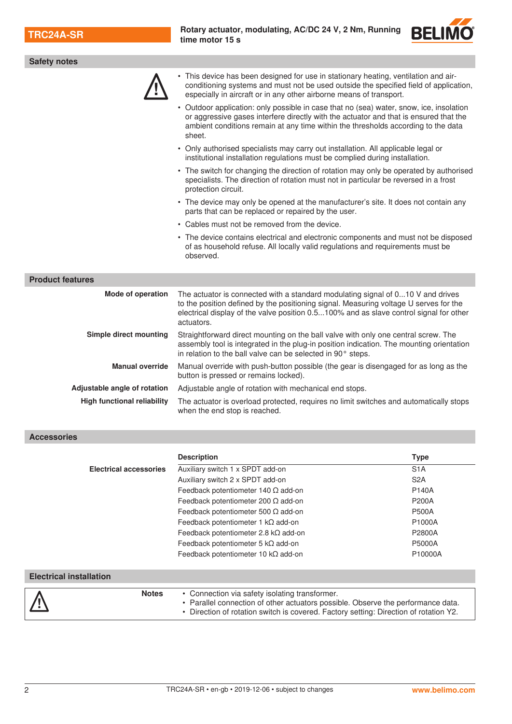

| <b>Safety notes</b>                |                                                                                                                                                                                                                                                                                  |                  |  |  |  |
|------------------------------------|----------------------------------------------------------------------------------------------------------------------------------------------------------------------------------------------------------------------------------------------------------------------------------|------------------|--|--|--|
|                                    | This device has been designed for use in stationary heating, ventilation and air-<br>conditioning systems and must not be used outside the specified field of application,<br>especially in aircraft or in any other airborne means of transport.                                |                  |  |  |  |
|                                    | • Outdoor application: only possible in case that no (sea) water, snow, ice, insolation<br>or aggressive gases interfere directly with the actuator and that is ensured that the<br>ambient conditions remain at any time within the thresholds according to the data<br>sheet.  |                  |  |  |  |
|                                    | • Only authorised specialists may carry out installation. All applicable legal or<br>institutional installation regulations must be complied during installation.                                                                                                                |                  |  |  |  |
|                                    | • The switch for changing the direction of rotation may only be operated by authorised<br>specialists. The direction of rotation must not in particular be reversed in a frost<br>protection circuit.                                                                            |                  |  |  |  |
|                                    | • The device may only be opened at the manufacturer's site. It does not contain any<br>parts that can be replaced or repaired by the user.                                                                                                                                       |                  |  |  |  |
|                                    | • Cables must not be removed from the device.                                                                                                                                                                                                                                    |                  |  |  |  |
|                                    | • The device contains electrical and electronic components and must not be disposed<br>of as household refuse. All locally valid regulations and requirements must be<br>observed.                                                                                               |                  |  |  |  |
| <b>Product features</b>            |                                                                                                                                                                                                                                                                                  |                  |  |  |  |
| Mode of operation                  |                                                                                                                                                                                                                                                                                  |                  |  |  |  |
|                                    | The actuator is connected with a standard modulating signal of 010 V and drives<br>to the position defined by the positioning signal. Measuring voltage U serves for the<br>electrical display of the valve position 0.5100% and as slave control signal for other<br>actuators. |                  |  |  |  |
| Simple direct mounting             | Straightforward direct mounting on the ball valve with only one central screw. The<br>assembly tool is integrated in the plug-in position indication. The mounting orientation<br>in relation to the ball valve can be selected in 90° steps.                                    |                  |  |  |  |
| <b>Manual override</b>             | Manual override with push-button possible (the gear is disengaged for as long as the<br>button is pressed or remains locked).                                                                                                                                                    |                  |  |  |  |
| Adjustable angle of rotation       | Adjustable angle of rotation with mechanical end stops.                                                                                                                                                                                                                          |                  |  |  |  |
| <b>High functional reliability</b> | The actuator is overload protected, requires no limit switches and automatically stops<br>when the end stop is reached.                                                                                                                                                          |                  |  |  |  |
| <b>Accessories</b>                 |                                                                                                                                                                                                                                                                                  |                  |  |  |  |
|                                    | <b>Description</b>                                                                                                                                                                                                                                                               | <b>Type</b>      |  |  |  |
| <b>Electrical accessories</b>      | Auxiliary switch 1 x SPDT add-on                                                                                                                                                                                                                                                 | S <sub>1</sub> A |  |  |  |
|                                    | Auxiliary switch 2 x SPDT add-on                                                                                                                                                                                                                                                 | S <sub>2</sub> A |  |  |  |
|                                    | Feedback potentiometer 140 $\Omega$ add-on                                                                                                                                                                                                                                       | P140A            |  |  |  |

|                                |              | Feedback potentiometer 5 $k\Omega$ add-on<br>Feedback potentiometer 10 $k\Omega$ add-on                                                                                                                                     | <b>P5000A</b><br>P10000A |
|--------------------------------|--------------|-----------------------------------------------------------------------------------------------------------------------------------------------------------------------------------------------------------------------------|--------------------------|
| <b>Electrical installation</b> |              |                                                                                                                                                                                                                             |                          |
|                                | <b>Notes</b> | • Connection via safety isolating transformer.<br>• Parallel connection of other actuators possible. Observe the performance data.<br>. Direction of rotation switch is covered. Factory setting: Direction of rotation Y2. |                          |

Feedback potentiometer 200 Ω add-on P200A Feedback potentiometer 500 Ω add-on P500A Feedback potentiometer 1 kΩ add-on P1000A Feedback potentiometer 2.8 kΩ add-on P2800A